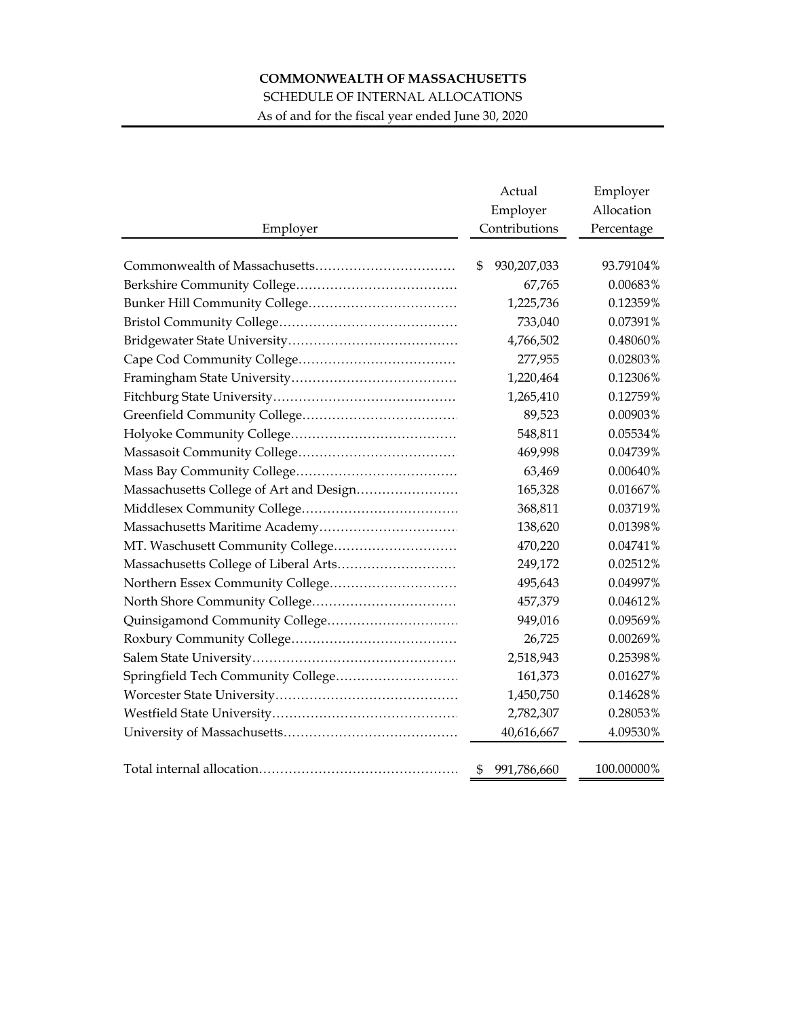# **COMMONWEALTH OF MASSACHUSETTS**

## SCHEDULE OF INTERNAL ALLOCATIONS

As of and for the fiscal year ended June 30, 2020

| Employer                                | Actual<br>Employer<br>Contributions | Employer<br>Allocation<br>Percentage |
|-----------------------------------------|-------------------------------------|--------------------------------------|
|                                         | \$<br>930,207,033                   | 93.79104%                            |
|                                         | 67,765                              | 0.00683%                             |
|                                         | 1,225,736                           | 0.12359%                             |
|                                         | 733,040                             | 0.07391%                             |
|                                         | 4,766,502                           | 0.48060%                             |
|                                         | 277,955                             | 0.02803%                             |
|                                         | 1,220,464                           | 0.12306%                             |
|                                         | 1,265,410                           | 0.12759%                             |
|                                         | 89,523                              | 0.00903%                             |
|                                         | 548,811                             | 0.05534%                             |
|                                         | 469,998                             | 0.04739%                             |
|                                         | 63,469                              | 0.00640%                             |
| Massachusetts College of Art and Design | 165,328                             | 0.01667%                             |
|                                         | 368,811                             | 0.03719%                             |
|                                         | 138,620                             | 0.01398%                             |
|                                         | 470,220                             | 0.04741%                             |
|                                         | 249,172                             | 0.02512%                             |
| Northern Essex Community College        | 495,643                             | 0.04997%                             |
|                                         | 457,379                             | 0.04612%                             |
|                                         | 949,016                             | 0.09569%                             |
|                                         | 26,725                              | 0.00269%                             |
|                                         | 2,518,943                           | 0.25398%                             |
| Springfield Tech Community College      | 161,373                             | 0.01627%                             |
|                                         | 1,450,750                           | 0.14628%                             |
|                                         | 2,782,307                           | 0.28053%                             |
|                                         | 40,616,667                          | 4.09530%                             |
|                                         |                                     |                                      |
|                                         | \$<br>991,786,660                   | 100.00000%                           |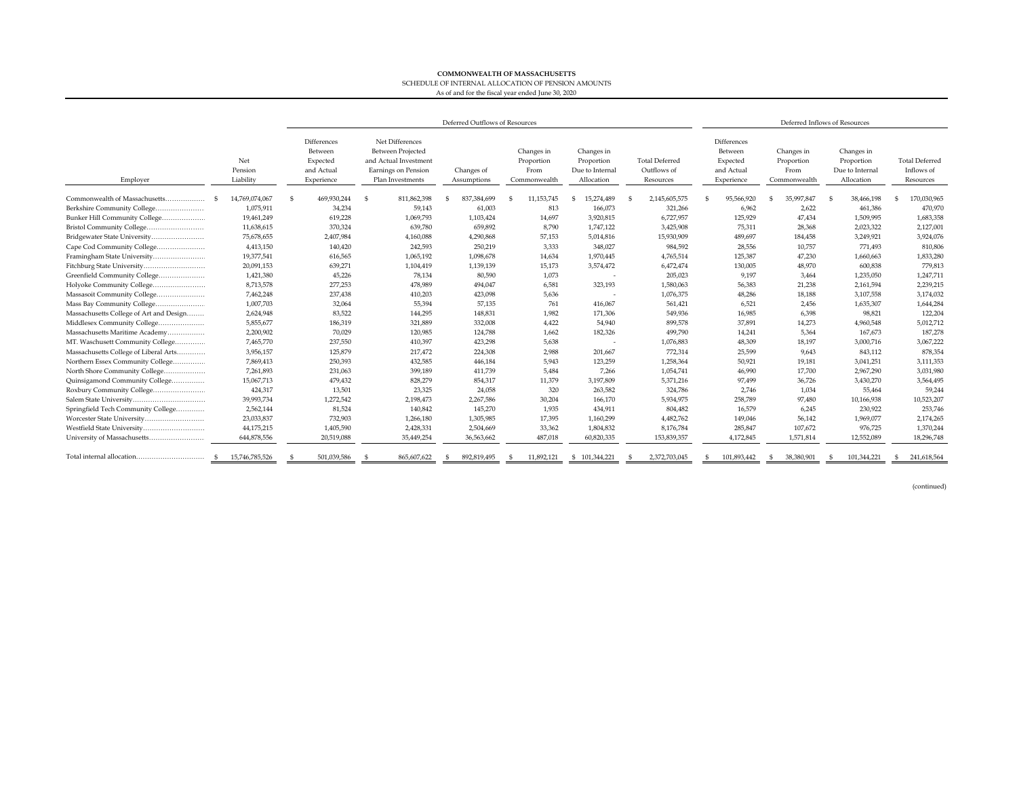#### **COMMONWEALTH OF MASSACHUSETTS**SCHEDULE OF INTERNAL ALLOCATION OF PENSION AMOUNTS

### As of and for the fiscal year ended June 30, 2020

|                                         |                             | Deferred Outflows of Resources                                 |                                                                                                                 |                           |                                                  |                                                           | Deferred Inflows of Resources                     |                                                                |                                                  |                                                           |                                                  |
|-----------------------------------------|-----------------------------|----------------------------------------------------------------|-----------------------------------------------------------------------------------------------------------------|---------------------------|--------------------------------------------------|-----------------------------------------------------------|---------------------------------------------------|----------------------------------------------------------------|--------------------------------------------------|-----------------------------------------------------------|--------------------------------------------------|
| Employer                                | Net<br>Pension<br>Liability | Differences<br>Between<br>Expected<br>and Actual<br>Experience | Net Differences<br><b>Between Projected</b><br>and Actual Investment<br>Earnings on Pension<br>Plan Investments | Changes of<br>Assumptions | Changes in<br>Proportion<br>From<br>Commonwealth | Changes in<br>Proportion<br>Due to Internal<br>Allocation | <b>Total Deferred</b><br>Outflows of<br>Resources | Differences<br>Between<br>Expected<br>and Actual<br>Experience | Changes in<br>Proportion<br>From<br>Commonwealth | Changes in<br>Proportion<br>Due to Internal<br>Allocation | <b>Total Deferred</b><br>Inflows of<br>Resources |
| Commonwealth of Massachusetts           | 14.769.074.067              | 469.930.244<br>-S                                              | 811.862.398<br>- S                                                                                              | 837,384,699<br>S          | 11.153.745                                       | 15,274,489                                                | 2,145,605,575<br>S                                | 95.566.920                                                     | 35,997,847                                       | 38,466,198                                                | 170.030.965                                      |
| Berkshire Community College             | 1,075,911                   | 34,234                                                         | 59,143                                                                                                          | 61,003                    | 813                                              | 166,073                                                   | 321,266                                           | 6,962                                                          | 2,622                                            | 461,386                                                   | 470,970                                          |
| Bunker Hill Community College           | 19,461,249                  | 619,228                                                        | 1,069,793                                                                                                       | 1,103,424                 | 14,697                                           | 3,920,815                                                 | 6,727,957                                         | 125,929                                                        | 47,434                                           | 1,509,995                                                 | 1,683,358                                        |
|                                         | 11,638,615                  | 370,324                                                        | 639,780                                                                                                         | 659,892                   | 8,790                                            | 1,747,122                                                 | 3,425,908                                         | 75,311                                                         | 28,368                                           | 2,023,322                                                 | 2,127,001                                        |
| Bridgewater State University            | 75,678,655                  | 2,407,984                                                      | 4,160,088                                                                                                       | 4,290,868                 | 57,153                                           | 5,014,816                                                 | 15,930,909                                        | 489,697                                                        | 184,458                                          | 3,249,921                                                 | 3,924,076                                        |
| Cape Cod Community College              | 4,413,150                   | 140,420                                                        | 242,593                                                                                                         | 250,219                   | 3.333                                            | 348,027                                                   | 984,592                                           | 28,556                                                         | 10,757                                           | 771,493                                                   | 810.806                                          |
|                                         | 19,377,541                  | 616,565                                                        | 1,065,192                                                                                                       | 1,098,678                 | 14,634                                           | 1,970,445                                                 | 4,765,514                                         | 125,387                                                        | 47,230                                           | 1,660,663                                                 | 1,833,280                                        |
| Fitchburg State University              | 20,091,153                  | 639,271                                                        | 1,104,419                                                                                                       | 1,139,139                 | 15,173                                           | 3,574,472                                                 | 6,472,474                                         | 130,005                                                        | 48,970                                           | 600.838                                                   | 779.813                                          |
| Greenfield Community College            | 1,421,380                   | 45,226                                                         | 78,134                                                                                                          | 80,590                    | 1,073                                            | $\overline{\phantom{a}}$                                  | 205,023                                           | 9,197                                                          | 3,464                                            | 1,235,050                                                 | 1,247,711                                        |
| Holyoke Community College               | 8,713,578                   | 277,253                                                        | 478,989                                                                                                         | 494,047                   | 6,581                                            | 323,193                                                   | 1,580,063                                         | 56,383                                                         | 21,238                                           | 2,161,594                                                 | 2,239,215                                        |
| Massasoit Community College             | 7,462,248                   | 237,438                                                        | 410,203                                                                                                         | 423,098                   | 5,636                                            |                                                           | 1,076,375                                         | 48,286                                                         | 18,188                                           | 3,107,558                                                 | 3,174,032                                        |
| Mass Bay Community College              | 1,007,703                   | 32,064                                                         | 55,394                                                                                                          | 57,135                    | 761                                              | 416,067                                                   | 561,421                                           | 6,521                                                          | 2.456                                            | 1,635,307                                                 | 1,644,284                                        |
| Massachusetts College of Art and Design | 2,624,948                   | 83,522                                                         | 144,295                                                                                                         | 148,831                   | 1.982                                            | 171,306                                                   | 549,936                                           | 16,985                                                         | 6,398                                            | 98.821                                                    | 122.204                                          |
| Middlesex Community College             | 5,855,677                   | 186,319                                                        | 321,889                                                                                                         | 332,008                   | 4,422                                            | 54,940                                                    | 899,578                                           | 37,891                                                         | 14,273                                           | 4,960,548                                                 | 5,012,712                                        |
| Massachusetts Maritime Academy          | 2,200,902                   | 70,029                                                         | 120,985                                                                                                         | 124,788                   | 1,662                                            | 182,326                                                   | 499,790                                           | 14,241                                                         | 5,364                                            | 167,673                                                   | 187.278                                          |
| MT. Waschusett Community College        | 7,465,770                   | 237,550                                                        | 410,397                                                                                                         | 423,298                   | 5,638                                            |                                                           | 1,076,883                                         | 48.309                                                         | 18,197                                           | 3,000,716                                                 | 3,067,222                                        |
| Massachusetts College of Liberal Arts   | 3,956,157                   | 125,879                                                        | 217,472                                                                                                         | 224,308                   | 2,988                                            | 201,667                                                   | 772,314                                           | 25,599                                                         | 9,643                                            | 843,112                                                   | 878,354                                          |
| Northern Essex Community College        | 7,869,413                   | 250,393                                                        | 432.585                                                                                                         | 446,184                   | 5.943                                            | 123,259                                                   | 1,258,364                                         | 50,921                                                         | 19,181                                           | 3,041,251                                                 | 3,111,353                                        |
| North Shore Community College           | 7,261,893                   | 231,063                                                        | 399,189                                                                                                         | 411,739                   | 5,484                                            | 7,266                                                     | 1,054,741                                         | 46,990                                                         | 17,700                                           | 2,967,290                                                 | 3,031,980                                        |
| Ouinsigamond Community College          | 15,067,713                  | 479,432                                                        | 828,279                                                                                                         | 854,317                   | 11,379                                           | 3,197,809                                                 | 5,371,216                                         | 97,499                                                         | 36,726                                           | 3,430,270                                                 | 3,564,495                                        |
| Roxbury Community College               | 424,317                     | 13,501                                                         | 23,325                                                                                                          | 24,058                    | 320                                              | 263,582                                                   | 324,786                                           | 2,746                                                          | 1,034                                            | 55,464                                                    | 59,244                                           |
|                                         | 39,993,734                  | 1,272,542                                                      | 2,198,473                                                                                                       | 2,267,586                 | 30,204                                           | 166,170                                                   | 5,934,975                                         | 258,789                                                        | 97,480                                           | 10,166,938                                                | 10,523,207                                       |
| Springfield Tech Community College      | 2,562,144                   | 81,524                                                         | 140,842                                                                                                         | 145,270                   | 1,935                                            | 434,911                                                   | 804,482                                           | 16,579                                                         | 6,245                                            | 230,922                                                   | 253,746                                          |
| Worcester State University              | 23,033,837                  | 732,903                                                        | 1,266,180                                                                                                       | 1,305,985                 | 17,395                                           | 1,160,299                                                 | 4,482,762                                         | 149,046                                                        | 56,142                                           | 1,969,077                                                 | 2,174,265                                        |
| Westfield State University              | 44,175,215                  | 1,405,590                                                      | 2,428,331                                                                                                       | 2,504,669                 | 33,362                                           | 1,804,832                                                 | 8,176,784                                         | 285,847                                                        | 107,672                                          | 976,725                                                   | 1,370,244                                        |
|                                         | 644,878,556                 | 20,519,088                                                     | 35,449,254                                                                                                      | 36,563,662                | 487.018                                          | 60.820.335                                                | 153,839,357                                       | 4,172,845                                                      | 1,571,814                                        | 12,552,089                                                | 18,296,748                                       |
| Total internal allocation               | 15.746.785.526              | 501,039,586                                                    | 865,607,622                                                                                                     | 892,819,495               | 11.892.121                                       | \$101,344,221                                             | 2.372.703.045                                     | 101.893.442                                                    | 38,380,901                                       | 101.344.221                                               | 241.618.564                                      |

(continued)